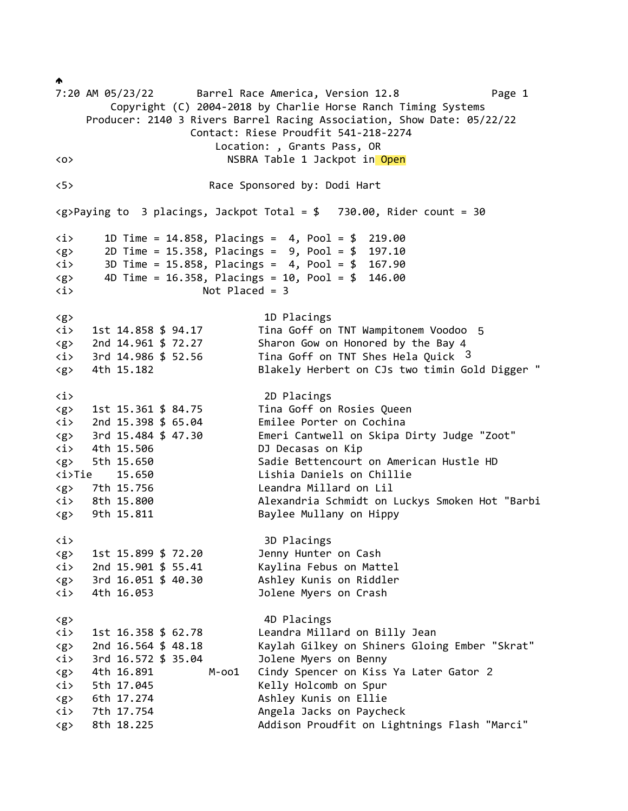$\blacklozenge$ 7:20 AM 05/23/22 Barrel Race America, Version 12.8 Page 1 Copyright (C) 2004-2018 by Charlie Horse Ranch Timing Systems Producer: 2140 3 Rivers Barrel Racing Association, Show Date: 05/22/22 Contact: Riese Proudfit 541-218-2274 Location: , Grants Pass, OR <o> NSBRA Table 1 Jackpot in Open <5> Race Sponsored by: Dodi Hart  $\langle g \rangle$ Paying to 3 placings, Jackpot Total = \$ 730.00, Rider count = 30 <i> 1D Time = 14.858, Placings = 4, Pool = \$ 219.00 <g> 2D Time = 15.358, Placings = 9, Pool = \$ 197.10 <i> 3D Time = 15.858, Placings = 4, Pool = \$ 167.90  $\langle g \rangle$  4D Time = 16.358, Placings = 10, Pool = \$ 146.00 <i> Not Placed = 3 <g> 1D Placings <i> 1st 14.858 \$ 94.17 Tina Goff on TNT Wampitonem Voodoo 5<g> 2nd 14.961 \$ 72.27 Sharon Gow on Honored by the Bay 4  $\langle i \rangle$  3rd 14.986 \$ 52.56 Tina Goff on TNT Shes Hela Quick 3 <g> 4th 15.182 Blakely Herbert on CJs two timin Gold Digger " <i> 2D Placings <g> 1st 15.361 \$ 84.75 Tina Goff on Rosies Queen <i> 2nd 15.398 \$ 65.04 Emilee Porter on Cochina <g> 3rd 15.484 \$ 47.30 Emeri Cantwell on Skipa Dirty Judge "Zoot" <i> 4th 15.506 DJ Decasas on Kip <g> 5th 15.650 Sadie Bettencourt on American Hustle HD <i>Tie 15.650 Lishia Daniels on Chillie <g> 7th 15.756 Leandra Millard on Lil <i> 8th 15.800 Alexandria Schmidt on Luckys Smoken Hot "Barbi <g> 9th 15.811 Baylee Mullany on Hippy <i> 3D Placings <g> 1st 15.899 \$ 72.20 Jenny Hunter on Cash <i> 2nd 15.901 \$ 55.41 Kaylina Febus on Mattel <g> 3rd 16.051 \$ 40.30 Ashley Kunis on Riddler <i> 4th 16.053 Jolene Myers on Crash <g> 4D Placings <i> 1st 16.358 \$ 62.78 Leandra Millard on Billy Jean <g> 2nd 16.564 \$ 48.18 Kaylah Gilkey on Shiners Gloing Ember "Skrat" <i> 3rd 16.572 \$ 35.04 Jolene Myers on Benny <g> 4th 16.891 M-oo1 Cindy Spencer on Kiss Ya Later Gator 2 <i> 5th 17.045 Kelly Holcomb on Spur <g> 6th 17.274 Ashley Kunis on Ellie <i> 7th 17.754 Angela Jacks on Paycheck <g> 8th 18.225 Addison Proudfit on Lightnings Flash "Marci"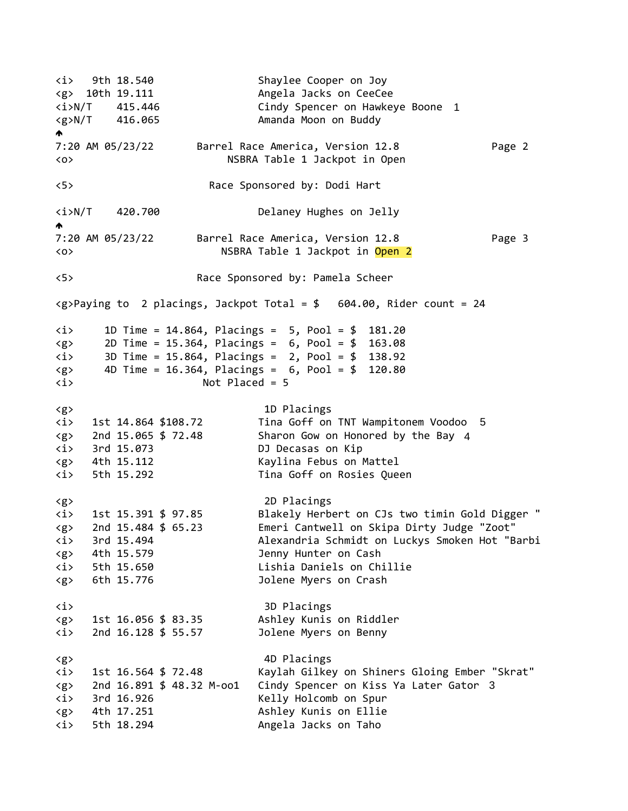<i> 9th 18.540 Shaylee Cooper on Joy <g> 10th 19.111 Angela Jacks on CeeCee <i>N/T 415.446 Cindy Spencer on Hawkeye Boone 1 <g>N/T 416.065 Amanda Moon on Buddy  $\blacktriangle$ 7:20 AM 05/23/22 Barrel Race America, Version 12.8 Page 2 <o> NSBRA Table 1 Jackpot in Open <5> Race Sponsored by: Dodi Hart <i>N/T 420.700 Delaney Hughes on Jelly  $\blacktriangle$ 7:20 AM 05/23/22 Barrel Race America, Version 12.8 Page 3 <o> NSBRA Table 1 Jackpot in Open 2 <5> Race Sponsored by: Pamela Scheer  $\langle g \rangle$ Paying to 2 placings, Jackpot Total = \$ 604.00, Rider count = 24 <i> 1D Time = 14.864, Placings = 5, Pool = \$ 181.20 <g> 2D Time = 15.364, Placings = 6, Pool = \$ 163.08 <i> 3D Time = 15.864, Placings = 2, Pool = \$ 138.92  $\langle g \rangle$  4D Time = 16.364, Placings = 6, Pool = \$ 120.80 <i> Not Placed = 5 <g> 1D Placings <i> 1st 14.864 \$108.72 Tina Goff on TNT Wampitonem Voodoo 5<g> 2nd 15.065 \$ 72.48 Sharon Gow on Honored by the Bay 4 <i> 3rd 15.073 DJ Decasas on Kip <g> 4th 15.112 Kaylina Febus on Mattel <i> 5th 15.292 Tina Goff on Rosies Queen <g> 2D Placings <i> 1st 15.391 \$ 97.85 Blakely Herbert on CJs two timin Gold Digger " <g> 2nd 15.484 \$ 65.23 Emeri Cantwell on Skipa Dirty Judge "Zoot" <i> 3rd 15.494 Alexandria Schmidt on Luckys Smoken Hot "Barbi <g> 4th 15.579 Jenny Hunter on Cash <i> 5th 15.650 Lishia Daniels on Chillie <g> 6th 15.776 Jolene Myers on Crash <i> 3D Placings <g> 1st 16.056 \$ 83.35 Ashley Kunis on Riddler <i> 2nd 16.128 \$ 55.57 Jolene Myers on Benny <g> 4D Placings <i> 1st 16.564 \$ 72.48 Kaylah Gilkey on Shiners Gloing Ember "Skrat" <g> 2nd 16.891 \$ 48.32 M-oo1 Cindy Spencer on Kiss Ya Later Gator 3 <i> 3rd 16.926 Kelly Holcomb on Spur <g> 4th 17.251 Ashley Kunis on Ellie <i> 5th 18.294 Angela Jacks on Taho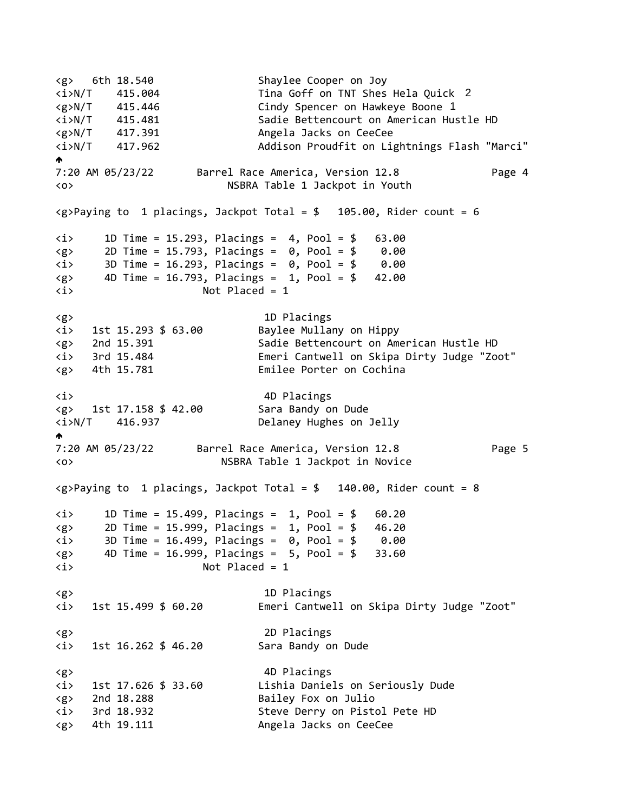<g> 6th 18.540 Shaylee Cooper on Joy <i>N/T 415.004 Tina Goff on TNT Shes Hela Quick 2<g>N/T 415.446 Cindy Spencer on Hawkeye Boone 1 <i>N/T 415.481 Sadie Bettencourt on American Hustle HD <g>N/T 417.391 Angela Jacks on CeeCee <i>N/T 417.962 Addison Proudfit on Lightnings Flash "Marci"  $\blacktriangle$ 7:20 AM 05/23/22 Barrel Race America, Version 12.8 Page 4 <o> NSBRA Table 1 Jackpot in Youth  $\langle g \rangle$ Paying to 1 placings, Jackpot Total = \$ 105.00, Rider count = 6 <i> 1D Time = 15.293, Placings = 4, Pool = \$ 63.00  $\langle g \rangle$  2D Time = 15.793, Placings = 0, Pool = \$ 0.00 <i> 3D Time = 16.293, Placings = 0, Pool = \$ 0.00  $\langle g \rangle$  4D Time = 16.793, Placings = 1, Pool = \$ 42.00 <i> Not Placed = 1 <g> 1D Placings <i> 1st 15.293 \$ 63.00 Baylee Mullany on Hippy <g> 2nd 15.391 Sadie Bettencourt on American Hustle HD <i> 3rd 15.484 Emeri Cantwell on Skipa Dirty Judge "Zoot" <g> 4th 15.781 Emilee Porter on Cochina <i> 4D Placings <g> 1st 17.158 \$ 42.00 Sara Bandy on Dude <i>N/T 416.937 Delaney Hughes on Jelly  $\blacktriangle$ 7:20 AM 05/23/22 Barrel Race America, Version 12.8 Page 5 <o> NSBRA Table 1 Jackpot in Novice  $\langle g \rangle$ Paying to 1 placings, Jackpot Total = \$ 140.00, Rider count = 8 <i> 1D Time = 15.499, Placings = 1, Pool = \$ 60.20 <g> 2D Time = 15.999, Placings = 1, Pool = \$ 46.20 <i> 3D Time = 16.499, Placings = 0, Pool = \$ 0.00  $\langle g \rangle$  4D Time = 16.999, Placings = 5, Pool = \$ 33.60 <i> Not Placed = 1 <g> 1D Placings <i> 1st 15.499 \$ 60.20 Emeri Cantwell on Skipa Dirty Judge "Zoot" <g> 2D Placings <i> 1st 16.262 \$ 46.20 Sara Bandy on Dude <g> 4D Placings <i> 1st 17.626 \$ 33.60 Lishia Daniels on Seriously Dude <g> 2nd 18.288 Bailey Fox on Julio <i> 3rd 18.932 Steve Derry on Pistol Pete HD <g> 4th 19.111 Angela Jacks on CeeCee